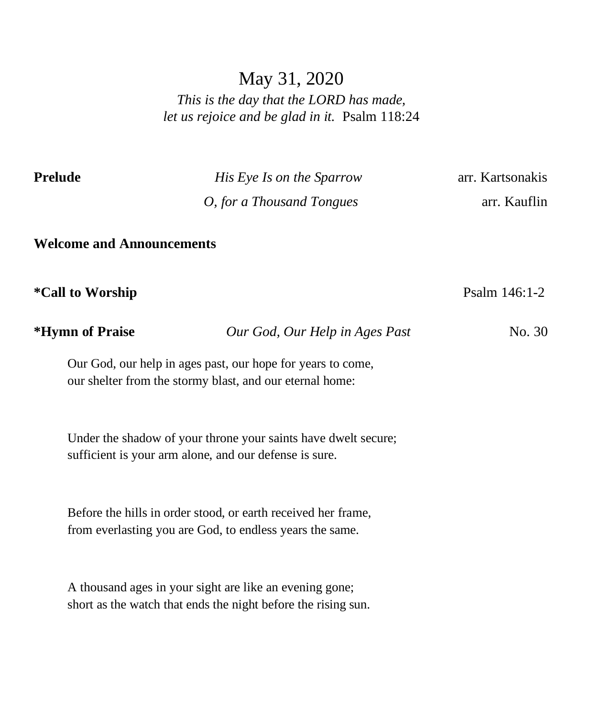### May 31, 2020

*This is the day that the LORD has made, let us rejoice and be glad in it.* Psalm 118:24

**Prelude** *His Eye Is on the Sparrow* arr. Kartsonakis *O, for a Thousand Tongues* arr. Kauflin

**Welcome and Announcements**

**\*Call to Worship** Psalm 146:1-2

**\*Hymn of Praise** *Our God, Our Help in Ages Past* No. 30

Our God, our help in ages past, our hope for years to come, our shelter from the stormy blast, and our eternal home:

Under the shadow of your throne your saints have dwelt secure; sufficient is your arm alone, and our defense is sure.

Before the hills in order stood, or earth received her frame, from everlasting you are God, to endless years the same.

A thousand ages in your sight are like an evening gone; short as the watch that ends the night before the rising sun.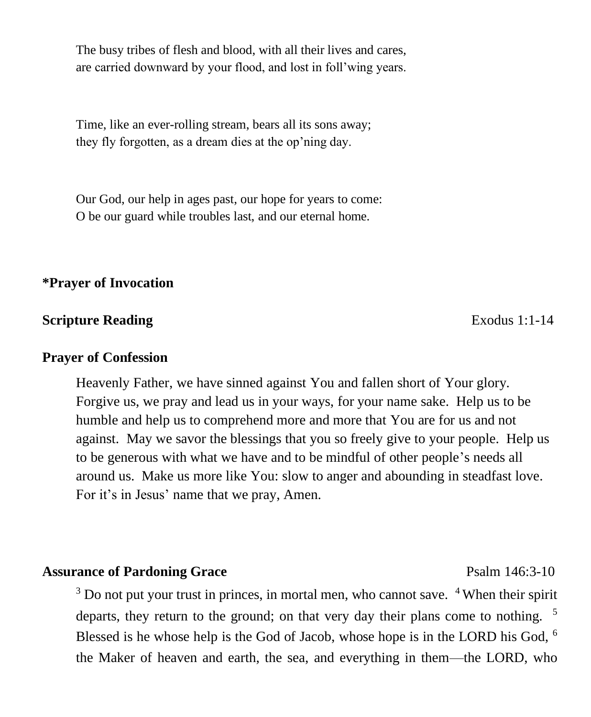The busy tribes of flesh and blood, with all their lives and cares, are carried downward by your flood, and lost in foll'wing years.

Time, like an ever-rolling stream, bears all its sons away; they fly forgotten, as a dream dies at the op'ning day.

Our God, our help in ages past, our hope for years to come: O be our guard while troubles last, and our eternal home.

### **\*Prayer of Invocation**

### **Scripture Reading Exodus 1:1-14**

#### **Prayer of Confession**

Heavenly Father, we have sinned against You and fallen short of Your glory. Forgive us, we pray and lead us in your ways, for your name sake. Help us to be humble and help us to comprehend more and more that You are for us and not against. May we savor the blessings that you so freely give to your people. Help us to be generous with what we have and to be mindful of other people's needs all around us. Make us more like You: slow to anger and abounding in steadfast love. For it's in Jesus' name that we pray, Amen.

### Assurance of Pardoning Grace Psalm 146:3-10

 $3$  Do not put your trust in princes, in mortal men, who cannot save.  $4$  When their spirit departs, they return to the ground; on that very day their plans come to nothing. <sup>5</sup> Blessed is he whose help is the God of Jacob, whose hope is in the LORD his God, <sup>6</sup> the Maker of heaven and earth, the sea, and everything in them—the LORD, who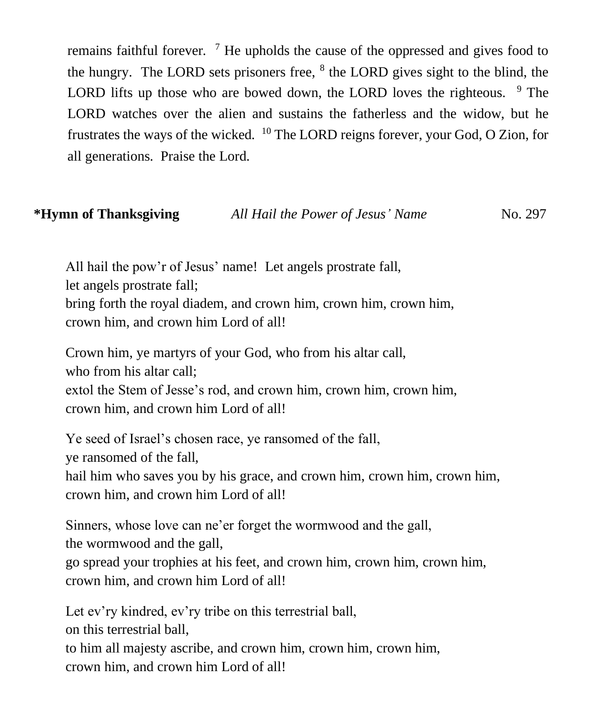remains faithful forever.  $\frac{7}{1}$  He upholds the cause of the oppressed and gives food to the hungry. The LORD sets prisoners free,  $8$  the LORD gives sight to the blind, the LORD lifts up those who are bowed down, the LORD loves the righteous.  $9$  The LORD watches over the alien and sustains the fatherless and the widow, but he frustrates the ways of the wicked.  $^{10}$  The LORD reigns forever, your God, O Zion, for all generations. Praise the Lord.

### **\*Hymn of Thanksgiving** *All Hail the Power of Jesus' Name* No. 297

All hail the pow'r of Jesus' name! Let angels prostrate fall, let angels prostrate fall; bring forth the royal diadem, and crown him, crown him, crown him, crown him, and crown him Lord of all!

Crown him, ye martyrs of your God, who from his altar call, who from his altar call; extol the Stem of Jesse's rod, and crown him, crown him, crown him, crown him, and crown him Lord of all!

Ye seed of Israel's chosen race, ye ransomed of the fall, ye ransomed of the fall, hail him who saves you by his grace, and crown him, crown him, crown him, crown him, and crown him Lord of all!

Sinners, whose love can ne'er forget the wormwood and the gall, the wormwood and the gall, go spread your trophies at his feet, and crown him, crown him, crown him, crown him, and crown him Lord of all!

Let ev'ry kindred, ev'ry tribe on this terrestrial ball, on this terrestrial ball,

to him all majesty ascribe, and crown him, crown him, crown him, crown him, and crown him Lord of all!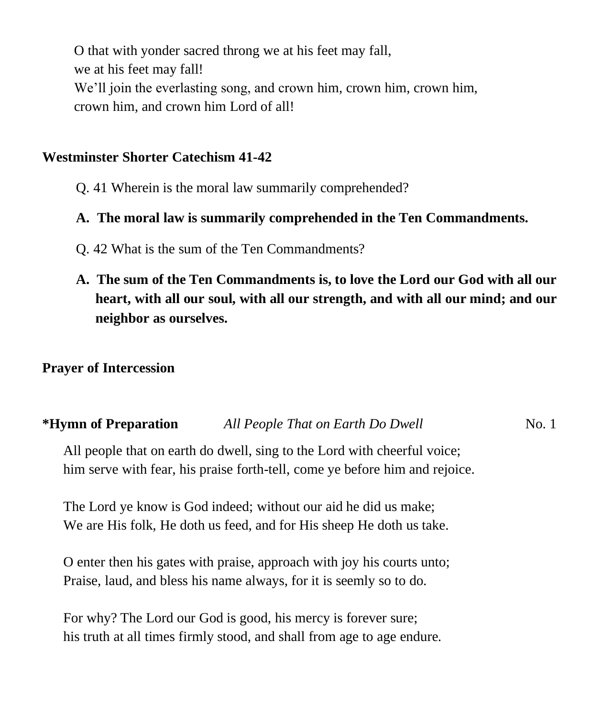O that with yonder sacred throng we at his feet may fall, we at his feet may fall! We'll join the everlasting song, and crown him, crown him, crown him, crown him, and crown him Lord of all!

### **Westminster Shorter Catechism 41-42**

Q. 41 Wherein is the moral law summarily comprehended?

### **A. The moral law is summarily comprehended in the Ten Commandments.**

- Q. 42 What is the sum of the Ten Commandments?
- **A. The sum of the Ten Commandments is, to love the Lord our God with all our heart, with all our soul, with all our strength, and with all our mind; and our neighbor as ourselves.**

### **Prayer of Intercession**

# **\*Hymn of Preparation** *All People That on Earth Do Dwell* **No. 1**

All people that on earth do dwell, sing to the Lord with cheerful voice; him serve with fear, his praise forth-tell, come ye before him and rejoice.

The Lord ye know is God indeed; without our aid he did us make; We are His folk, He doth us feed, and for His sheep He doth us take.

O enter then his gates with praise, approach with joy his courts unto; Praise, laud, and bless his name always, for it is seemly so to do.

For why? The Lord our God is good, his mercy is forever sure; his truth at all times firmly stood, and shall from age to age endure.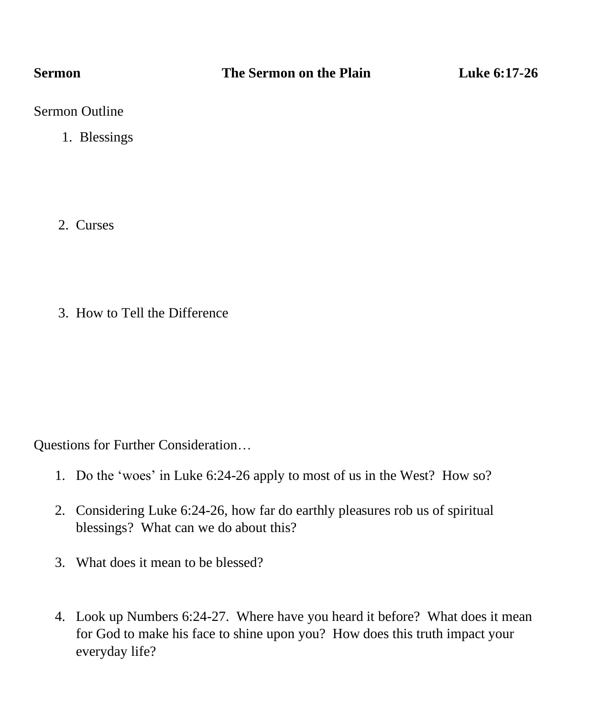Sermon Outline

1. Blessings

2. Curses

3. How to Tell the Difference

Questions for Further Consideration…

- 1. Do the 'woes' in Luke 6:24-26 apply to most of us in the West? How so?
- 2. Considering Luke 6:24-26, how far do earthly pleasures rob us of spiritual blessings? What can we do about this?
- 3. What does it mean to be blessed?
- 4. Look up Numbers 6:24-27. Where have you heard it before? What does it mean for God to make his face to shine upon you? How does this truth impact your everyday life?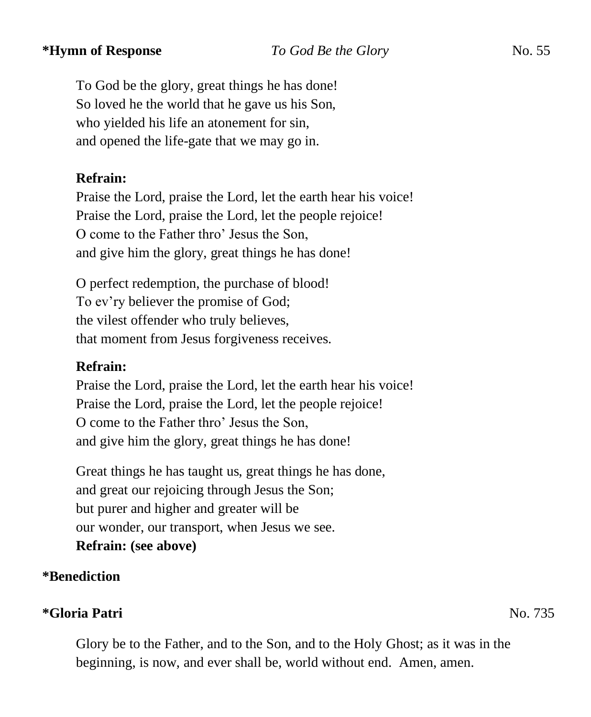To God be the glory, great things he has done! So loved he the world that he gave us his Son, who yielded his life an atonement for sin, and opened the life-gate that we may go in.

### **Refrain:**

Praise the Lord, praise the Lord, let the earth hear his voice! Praise the Lord, praise the Lord, let the people rejoice! O come to the Father thro' Jesus the Son, and give him the glory, great things he has done!

O perfect redemption, the purchase of blood! To ev'ry believer the promise of God; the vilest offender who truly believes, that moment from Jesus forgiveness receives.

### **Refrain:**

Praise the Lord, praise the Lord, let the earth hear his voice! Praise the Lord, praise the Lord, let the people rejoice! O come to the Father thro' Jesus the Son, and give him the glory, great things he has done!

Great things he has taught us, great things he has done, and great our rejoicing through Jesus the Son; but purer and higher and greater will be our wonder, our transport, when Jesus we see. **Refrain: (see above)**

### **\*Benediction**

### **\*Gloria Patri** No. 735

Glory be to the Father, and to the Son, and to the Holy Ghost; as it was in the beginning, is now, and ever shall be, world without end. Amen, amen.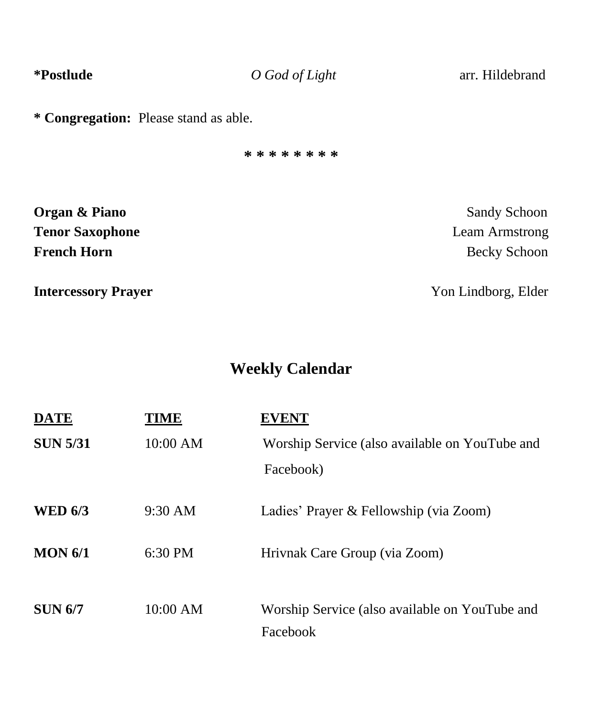**\*Postlude** *O God of Light* arr. Hildebrand

**\* Congregation:** Please stand as able.

**\* \* \* \* \* \* \* \***

| Organ & Piano              | <b>Sandy Schoon</b> |
|----------------------------|---------------------|
| <b>Tenor Saxophone</b>     | Leam Armstrong      |
| <b>French Horn</b>         | Becky Schoon        |
| <b>Intercessory Prayer</b> | Yon Lindborg, Elder |

# **Weekly Calendar**

| <b>DATE</b>     | 4Е        |                                                            |
|-----------------|-----------|------------------------------------------------------------|
| <b>SUN 5/31</b> | 10:00 AM  | Worship Service (also available on YouTube and             |
|                 |           | Facebook)                                                  |
| <b>WED 6/3</b>  | 9:30 AM   | Ladies' Prayer & Fellowship (via Zoom)                     |
| MON 6/1         | $6:30$ PM | Hrivnak Care Group (via Zoom)                              |
| <b>SUN 6/7</b>  | 10:00 AM  | Worship Service (also available on YouTube and<br>Facebook |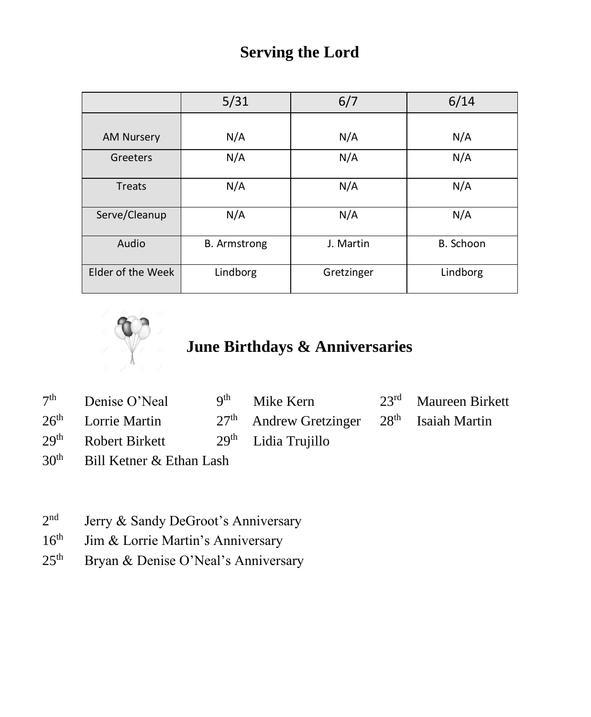## **Serving the Lord**

|                   | 5/31                | 6/7        | 6/14      |
|-------------------|---------------------|------------|-----------|
|                   |                     |            |           |
| <b>AM Nursery</b> | N/A                 | N/A        | N/A       |
| Greeters          | N/A                 | N/A        | N/A       |
| <b>Treats</b>     | N/A                 | N/A        | N/A       |
| Serve/Cleanup     | N/A                 | N/A        | N/A       |
| Audio             | <b>B.</b> Armstrong | J. Martin  | B. Schoon |
| Elder of the Week | Lindborg            | Gretzinger | Lindborg  |



# **June Birthdays & Anniversaries**

|                                 |                     |                                                    | $23rd$ Maureen Birkett                        |
|---------------------------------|---------------------|----------------------------------------------------|-----------------------------------------------|
| $26th$ Lorrie Martin            |                     |                                                    |                                               |
| 29 <sup>th</sup> Robert Birkett |                     |                                                    |                                               |
|                                 | $7th$ Denise O'Neal | 9 <sup>th</sup> Mike Kern<br>$29th$ Lidia Trujillo | $27th$ Andrew Gretzinger $28th$ Isaiah Martin |

- $30<sup>th</sup>$  Bill Ketner & Ethan Lash
- $2<sup>nd</sup>$ Jerry & Sandy DeGroot's Anniversary
- $16<sup>th</sup>$  Jim & Lorrie Martin's Anniversary
- 25<sup>th</sup> Bryan & Denise O'Neal's Anniversary